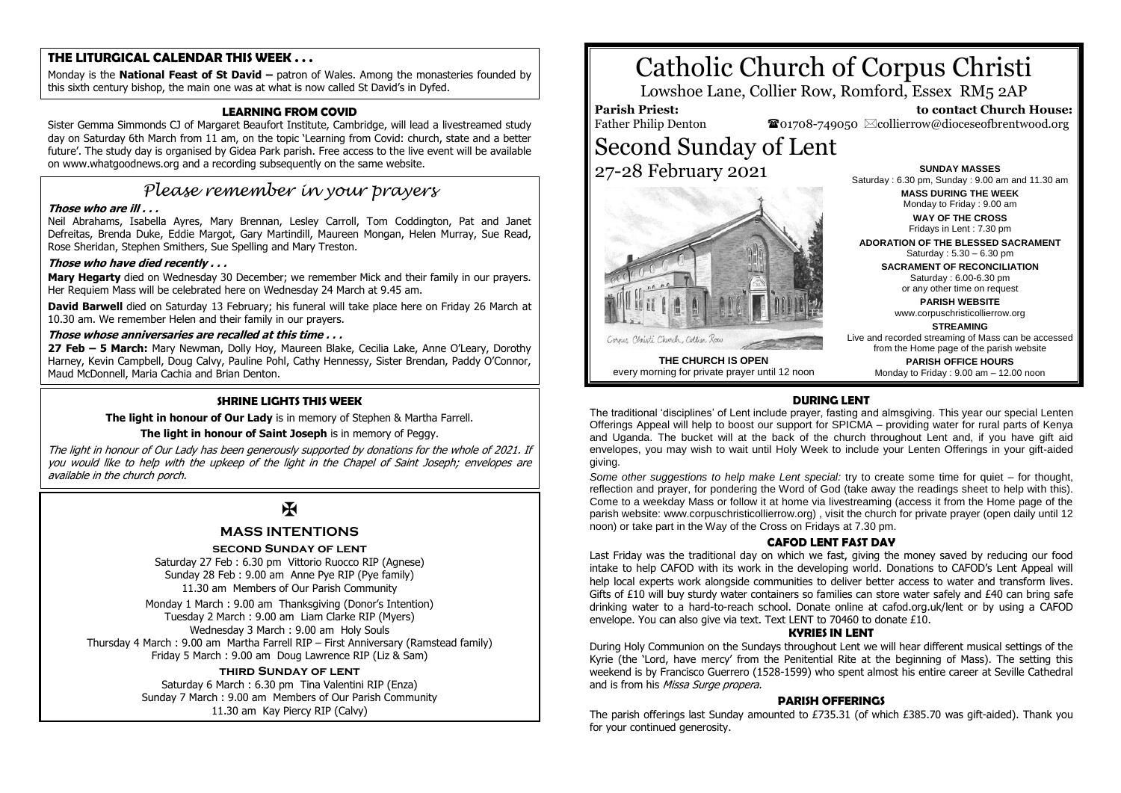# **THE LITURGICAL CALENDAR THIS WEEK . . .**

Monday is the **National Feast of St David –** patron of Wales. Among the monasteries founded by this sixth century bishop, the main one was at what is now called St David's in Dyfed.

# **LEARNING FROM COVID**

Sister Gemma Simmonds CJ of Margaret Beaufort Institute, Cambridge, will lead a livestreamed study day on Saturday 6th March from 11 am, on the topic 'Learning from Covid: church, state and a better future'. The study day is organised by Gidea Park parish. Free access to the live event will be available on www.whatgoodnews.org and a recording subsequently on the same website.

# *Please remember in your prayers*

# **Those who are ill . . .**

Neil Abrahams, Isabella Ayres, Mary Brennan, Lesley Carroll, Tom Coddington, Pat and Janet Defreitas, Brenda Duke, Eddie Margot, Gary Martindill, Maureen Mongan, Helen Murray, Sue Read, Rose Sheridan, Stephen Smithers, Sue Spelling and Mary Treston.

# **Those who have died recently . . .**

**Mary Hegarty** died on Wednesday 30 December; we remember Mick and their family in our prayers. Her Requiem Mass will be celebrated here on Wednesday 24 March at 9.45 am.

**David Barwell** died on Saturday 13 February; his funeral will take place here on Friday 26 March at 10.30 am. We remember Helen and their family in our prayers.

# **Those whose anniversaries are recalled at this time . . .**

**27 Feb – 5 March:** Mary Newman, Dolly Hoy, Maureen Blake, Cecilia Lake, Anne O'Leary, Dorothy Harney, Kevin Campbell, Doug Calvy, Pauline Pohl, Cathy Hennessy, Sister Brendan, Paddy O'Connor, Maud McDonnell, Maria Cachia and Brian Denton.

# **SHRINE LIGHTS THIS WEEK**

**The light in honour of Our Lady** is in memory of Stephen & Martha Farrell.

### **The light in honour of Saint Joseph** is in memory of Peggy.

The light in honour of Our Lady has been generously supported by donations for the whole of 2021. If you would like to help with the upkeep of the light in the Chapel of Saint Joseph; envelopes are available in the church porch.

# $\overline{\mathbf{R}}$

# **MASS INTENTIONS**

**second Sunday of lent**

Saturday 27 Feb : 6.30 pm Vittorio Ruocco RIP (Agnese) Sunday 28 Feb : 9.00 am Anne Pye RIP (Pye family) 11.30 am Members of Our Parish Community

Monday 1 March : 9.00 am Thanksgiving (Donor's Intention) Tuesday 2 March : 9.00 am Liam Clarke RIP (Myers) Wednesday 3 March : 9.00 am Holy Souls Thursday 4 March : 9.00 am Martha Farrell RIP – First Anniversary (Ramstead family) Friday 5 March : 9.00 am Doug Lawrence RIP (Liz & Sam)

# **third Sunday of lent**

Saturday 6 March : 6.30 pm Tina Valentini RIP (Enza) Sunday 7 March : 9.00 am Members of Our Parish Community 11.30 am Kay Piercy RIP (Calvy)

# Catholic Church of Corpus Christi

Lowshoe Lane, Collier Row, Romford, Essex RM5 2AP

# **Parish Priest:**

Father Philip Denton

 $\bullet$ 01708-749050  $\boxtimes$ collierrow@dioceseofbrentwood.org Second Sunday of Lent 27-28 February 2021



**SUNDAY MASSES** Saturday : 6.30 pm, Sunday : 9.00 am and 11.30 am **MASS DURING THE WEEK** Monday to Friday : 9.00 am **WAY OF THE CROSS**

 **to contact Church House:**

Fridays in Lent : 7.30 pm **ADORATION OF THE BLESSED SACRAMENT**

Saturday : 5.30 – 6.30 pm **SACRAMENT OF RECONCILIATION** Saturday : 6.00-6.30 pm or any other time on request

**PARISH WEBSITE** www.corpuschristicollierrow.org

**STREAMING**

Live and recorded streaming of Mass can be accessed from the Home page of the parish website

**PARISH OFFICE HOURS** Monday to Friday : 9.00 am – 12.00 noon

**THE CHURCH IS OPEN** every morning for private prayer until 12 noon

#### **DURING LENT**

The traditional 'disciplines' of Lent include prayer, fasting and almsgiving. This year our special Lenten Offerings Appeal will help to boost our support for SPICMA – providing water for rural parts of Kenya and Uganda. The bucket will at the back of the church throughout Lent and, if you have gift aid envelopes, you may wish to wait until Holy Week to include your Lenten Offerings in your gift-aided giving.

*Some other suggestions to help make Lent special:* try to create some time for quiet – for thought, reflection and prayer, for pondering the Word of God (take away the readings sheet to help with this). Come to a weekday Mass or follow it at home via livestreaming (access it from the Home page of the parish website: www.corpuschristicollierrow.org) , visit the church for private prayer (open daily until 12 noon) or take part in the Way of the Cross on Fridays at 7.30 pm.

#### **CAFOD LENT FAST DAY**

Last Friday was the traditional day on which we fast, giving the money saved by reducing our food intake to help CAFOD with its work in the developing world. Donations to CAFOD's Lent Appeal will help local experts work alongside communities to deliver better access to water and transform lives. Gifts of £10 will buy sturdy water containers so families can store water safely and £40 can bring safe drinking water to a hard-to-reach school. Donate online at cafod.org.uk/lent or by using a CAFOD envelope. You can also give via text. Text LENT to 70460 to donate £10.

#### **KYRIES IN LENT**

During Holy Communion on the Sundays throughout Lent we will hear different musical settings of the Kyrie (the 'Lord, have mercy' from the Penitential Rite at the beginning of Mass). The setting this weekend is by Francisco Guerrero (1528-1599) who spent almost his entire career at Seville Cathedral and is from his Missa Surge propera.

#### **PARISH OFFERINGS**

The parish offerings last Sunday amounted to £735.31 (of which £385.70 was gift-aided). Thank you for your continued generosity.